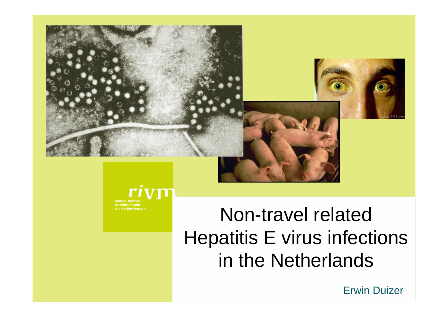



rivn **National Institutefor Public Healthand the Environment**

# Non-travel related Hepatitis E virus infections in the Netherlands

Erwin Duizer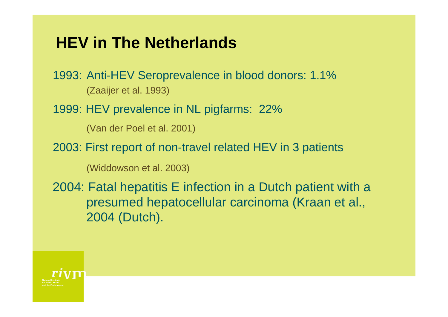# **HEV in The Netherlands**

1993: Anti-HEV Seroprevalence in blood donors: 1.1% (Zaaijer et al. 1993)

1999: HEV prevalence in NL pigfarms: 22%

(Van der Poel et al. 2001)

2003: First report of non-travel related HEV in 3 patients

(Widdowson et al. 2003)

2004: Fatal hepatitis E infection in a Dutch patient with a presumed hepatocellular carcinoma (Kraan et al., 2004 (Dutch).

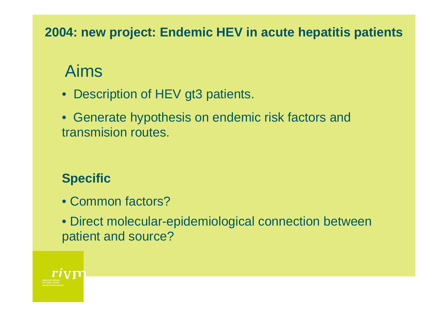**2004: new project: Endemic HEV in acute hepatitis patients**

# Aims

- Description of HEV gt3 patients.
- Generate hypothesis on endemic risk factors and transmision routes.

### **Specific**

- Common factors?
- Direct molecular-epidemiological connection between patient and source?

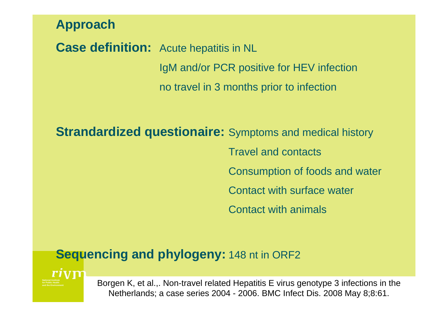**Approach**

**Case definition:** Acute hepatitis in NL IgM and/or PCR positive for HEV infection no travel in 3 months prior to infection

**Strandardized questionaire:** Symptoms and medical history Travel and contactsConsumption of foods and water Contact with surface water Contact with animals

### **Sequencing and phylogeny: 148 nt in ORF2**

riyn **for Public Healthand the Environment**

Borgen K, et al.,. Non-travel related Hepatitis E virus genotype 3 infections in the Netherlands; a case series 2004 - 2006. BMC Infect Dis. 2008 May 8;8:61.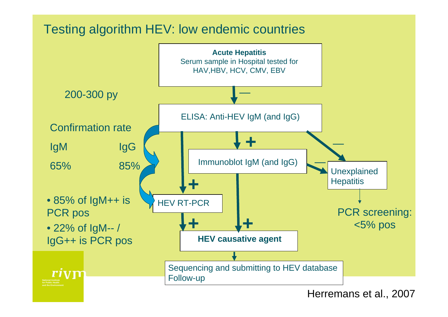### Testing algorithm HEV: low endemic countries



Herremans et al., 2007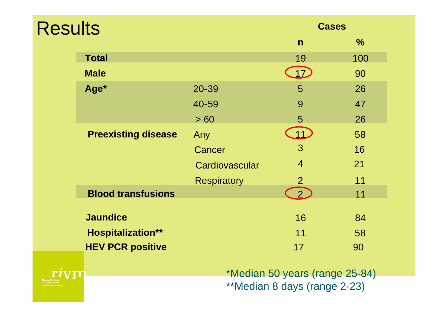| <b>Results</b> |                            |                    | <b>Cases</b>   |               |
|----------------|----------------------------|--------------------|----------------|---------------|
|                |                            |                    | $\mathsf{n}$   | $\frac{0}{0}$ |
|                | <b>Total</b>               |                    | 19             | 100           |
|                | <b>Male</b>                |                    | 17             | 90            |
|                | Age*                       | 20-39              | 5              | 26            |
|                |                            | 40-59              | 9              | 47            |
|                |                            | > 60               | 5              | 26            |
|                | <b>Preexisting disease</b> | Any                | $11-$          | 58            |
|                |                            | Cancer             | 3              | 16            |
|                |                            | Cardiovascular     | $\overline{4}$ | 21            |
|                |                            | <b>Respiratory</b> | $\overline{2}$ | 11            |
|                | <b>Blood transfusions</b>  |                    | 2 <sub>1</sub> | 11            |
|                | <b>Jaundice</b>            |                    | 16             | 84            |
|                |                            |                    |                |               |
|                | <b>Hospitalization**</b>   |                    | 11             | 58            |
|                | <b>HEV PCR positive</b>    |                    | 17             | 90            |

\*Median 50 years (range 25-84) \*\*Median 8 days (range 2-23)

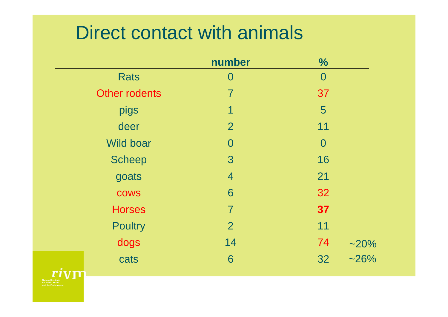# Direct contact with animals

|                      | number         | $\frac{0}{0}$  |  |
|----------------------|----------------|----------------|--|
| <b>Rats</b>          | $\rm 0$        | $\bf{0}$       |  |
| <b>Other rodents</b> | $\overline{7}$ | 37             |  |
| pigs                 | 1              | 5              |  |
| deer                 | $\overline{2}$ | 11             |  |
| <b>Wild boar</b>     | $\overline{0}$ | $\overline{0}$ |  |
| <b>Scheep</b>        | 3              | 16             |  |
| goats                | $\overline{4}$ | 21             |  |
| <b>COWS</b>          | 6              | 32             |  |
| <b>Horses</b>        | $\overline{7}$ | 37             |  |
| <b>Poultry</b>       | $\overline{2}$ | 11             |  |
| dogs                 | 14             | 74<br>$-20%$   |  |
| cats                 | 6              | $-26%$<br>32   |  |
|                      |                |                |  |

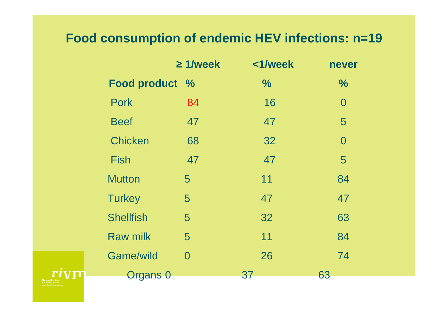### **Food consumption of endemic HEV infections: n=19**

|                  | $\geq 1$ /week | <1/week       | never          |
|------------------|----------------|---------------|----------------|
| Food product %   |                | $\frac{1}{2}$ | $\frac{0}{0}$  |
| <b>Pork</b>      | 84             | 16            | $\overline{0}$ |
| <b>Beef</b>      | 47             | 47            | 5              |
| <b>Chicken</b>   | 68             | 32            | $\overline{0}$ |
| <b>Fish</b>      | 47             | 47            | 5              |
| <b>Mutton</b>    | 5              | 11            | 84             |
| <b>Turkey</b>    | 5              | 47            | 47             |
| <b>Shellfish</b> | 5              | 32            | 63             |
| <b>Raw milk</b>  | 5              | 11            | 84             |
| <b>Game/wild</b> | $\overline{0}$ | 26            | 74             |
| Organs 0         |                | 37            | 63             |

**for Public Healthand the Environment**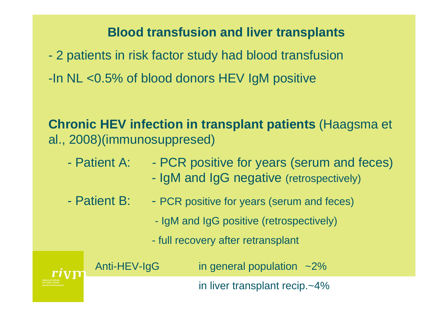### **Blood transfusion and liver transplants**

- 2 patients in risk factor study had blood transfusion
- -In NL <0.5% of blood donors HEV IgM positive

**Chronic HEV infection in transplant patients** (Haagsma et al., 2008)(immunosuppresed)

- Patient A: PCR positive for years (serum and feces)
	- IgM and IgG negative (retrospectively)
- Patient B: PCR positive for years (serum and feces)
	- IgM and IgG positive (retrospectively)
	- full recovery after retransplant



Anti-HEV-IgG in general population ~2%

in liver transplant recip.~4%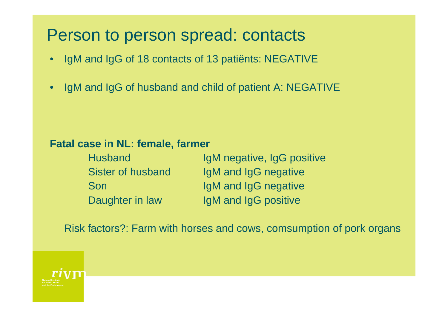## Person to person spread: contacts

- IgM and IgG of 18 contacts of 13 patiënts: NEGATIVE
- IgM and IgG of husband and child of patient A: NEGATIVE

#### **Fatal case in NL: female, farmer**

| <b>Husband</b>    | IgM negative, IgG positive |
|-------------------|----------------------------|
| Sister of husband | IgM and IgG negative       |
| Son               | IgM and IgG negative       |
| Daughter in law   | IgM and IgG positive       |

Risk factors?: Farm with horses and cows, comsumption of pork organs

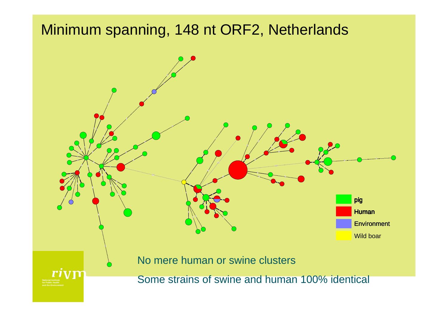## Minimum spanning, 148 nt ORF2, Netherlands

**for Public Healthand the Environment**



Some strains of swine and human 100% identical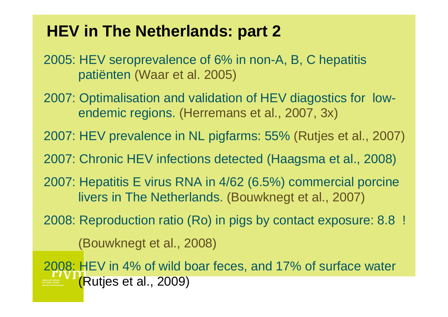## **HEV in The Netherlands: part 2**

2005: HEV seroprevalence of 6% in non-A, B, C hepatitis patiënten (Waar et al. 2005)

- 2007: Optimalisation and validation of HEV diagostics for lowendemic regions. (Herremans et al., 2007, 3x)
- 2007: HEV prevalence in NL pigfarms: 55% (Rutjes et al., 2007)
- 2007: Chronic HEV infections detected (Haagsma et al., 2008)
- 2007: Hepatitis E virus RNA in 4/62 (6.5%) commercial porcine livers in The Netherlands. (Bouwknegt et al., 2007)
- 2008: Reproduction ratio (Ro) in pigs by contact exposure: 8.8 !

(Bouwknegt et al., 2008)

**for Public Healthand the Environment**2008: HEV in 4% of wild boar feces, and 17% of surface water (Rutjes et al., 2009)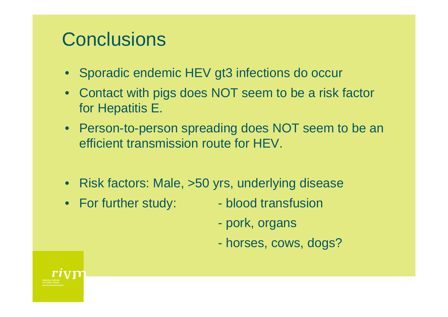# **Conclusions**

- Sporadic endemic HEV gt3 infections do occur
- Contact with pigs does NOT seem to be a risk factor for Hepatitis E.
- Person-to-person spreading does NOT seem to be an efficient transmission route for HEV.
- Risk factors: Male, >50 yrs, underlying disease
- For further study: blood transfusion
- - pork, organs
	- horses, cows, dogs?